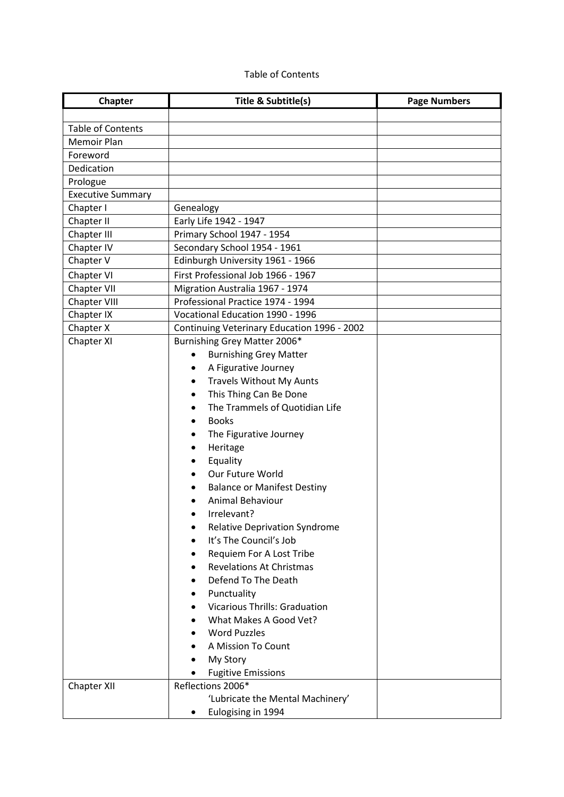## Table of Contents

| Chapter                  | <b>Title &amp; Subtitle(s)</b>              | <b>Page Numbers</b> |
|--------------------------|---------------------------------------------|---------------------|
|                          |                                             |                     |
| <b>Table of Contents</b> |                                             |                     |
| <b>Memoir Plan</b>       |                                             |                     |
| Foreword                 |                                             |                     |
| Dedication               |                                             |                     |
| Prologue                 |                                             |                     |
| <b>Executive Summary</b> |                                             |                     |
| Chapter I                | Genealogy                                   |                     |
| Chapter II               | Early Life 1942 - 1947                      |                     |
| Chapter III              | Primary School 1947 - 1954                  |                     |
| Chapter IV               | Secondary School 1954 - 1961                |                     |
| Chapter V                | Edinburgh University 1961 - 1966            |                     |
| Chapter VI               | First Professional Job 1966 - 1967          |                     |
| Chapter VII              | Migration Australia 1967 - 1974             |                     |
| Chapter VIII             | Professional Practice 1974 - 1994           |                     |
| Chapter IX               | Vocational Education 1990 - 1996            |                     |
| Chapter X                | Continuing Veterinary Education 1996 - 2002 |                     |
| Chapter XI               | Burnishing Grey Matter 2006*                |                     |
|                          | <b>Burnishing Grey Matter</b><br>$\bullet$  |                     |
|                          | A Figurative Journey                        |                     |
|                          | Travels Without My Aunts                    |                     |
|                          | This Thing Can Be Done                      |                     |
|                          | The Trammels of Quotidian Life              |                     |
|                          | <b>Books</b>                                |                     |
|                          | The Figurative Journey                      |                     |
|                          | Heritage                                    |                     |
|                          | Equality                                    |                     |
|                          | Our Future World                            |                     |
|                          | <b>Balance or Manifest Destiny</b>          |                     |
|                          | <b>Animal Behaviour</b>                     |                     |
|                          | Irrelevant?                                 |                     |
|                          | <b>Relative Deprivation Syndrome</b>        |                     |
|                          | It's The Council's Job                      |                     |
|                          | Requiem For A Lost Tribe                    |                     |
|                          | <b>Revelations At Christmas</b>             |                     |
|                          | Defend To The Death                         |                     |
|                          | Punctuality                                 |                     |
|                          | <b>Vicarious Thrills: Graduation</b>        |                     |
|                          | What Makes A Good Vet?                      |                     |
|                          | <b>Word Puzzles</b>                         |                     |
|                          | A Mission To Count                          |                     |
|                          | My Story                                    |                     |
|                          | <b>Fugitive Emissions</b>                   |                     |
| Chapter XII              | Reflections 2006*                           |                     |
|                          | 'Lubricate the Mental Machinery'            |                     |
|                          | Eulogising in 1994                          |                     |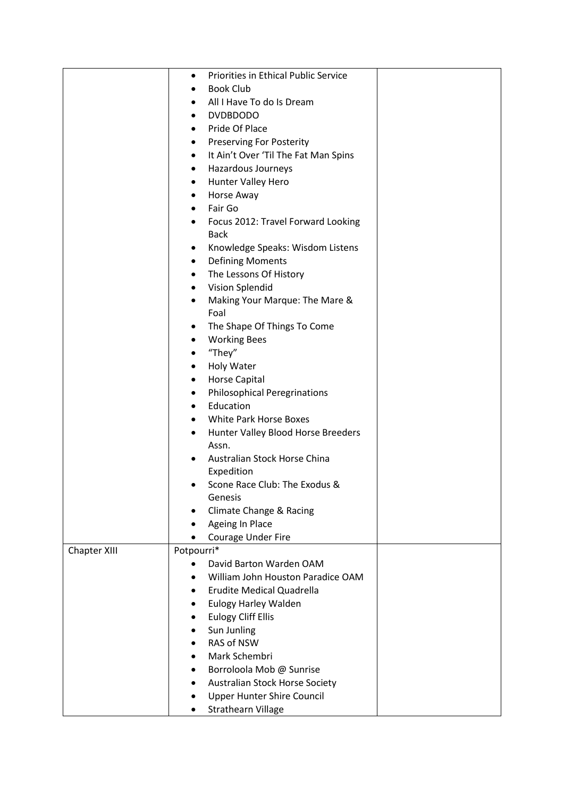|              | Priorities in Ethical Public Service<br>$\bullet$ |  |
|--------------|---------------------------------------------------|--|
|              | <b>Book Club</b>                                  |  |
|              | All I Have To do Is Dream                         |  |
|              | <b>DVDBDODO</b>                                   |  |
|              | Pride Of Place                                    |  |
|              | <b>Preserving For Posterity</b><br>$\bullet$      |  |
|              | It Ain't Over 'Til The Fat Man Spins<br>٠         |  |
|              | Hazardous Journeys<br>٠                           |  |
|              | <b>Hunter Valley Hero</b><br>٠                    |  |
|              | Horse Away                                        |  |
|              | Fair Go                                           |  |
|              | Focus 2012: Travel Forward Looking                |  |
|              | <b>Back</b>                                       |  |
|              | Knowledge Speaks: Wisdom Listens                  |  |
|              | <b>Defining Moments</b><br>$\bullet$              |  |
|              | The Lessons Of History<br>٠                       |  |
|              | Vision Splendid                                   |  |
|              | Making Your Marque: The Mare &<br>٠               |  |
|              | Foal                                              |  |
|              | The Shape Of Things To Come                       |  |
|              | <b>Working Bees</b>                               |  |
|              | "They"                                            |  |
|              | <b>Holy Water</b>                                 |  |
|              | Horse Capital                                     |  |
|              | <b>Philosophical Peregrinations</b><br>٠          |  |
|              | Education                                         |  |
|              | White Park Horse Boxes<br>$\bullet$               |  |
|              | Hunter Valley Blood Horse Breeders<br>٠           |  |
|              | Assn.                                             |  |
|              | Australian Stock Horse China                      |  |
|              | Expedition                                        |  |
|              | Scone Race Club: The Exodus &                     |  |
|              | Genesis                                           |  |
|              | Climate Change & Racing                           |  |
|              | Ageing In Place                                   |  |
|              | Courage Under Fire                                |  |
| Chapter XIII | Potpourri*                                        |  |
|              | David Barton Warden OAM<br>$\bullet$              |  |
|              | William John Houston Paradice OAM                 |  |
|              | <b>Erudite Medical Quadrella</b>                  |  |
|              | <b>Eulogy Harley Walden</b>                       |  |
|              | <b>Eulogy Cliff Ellis</b>                         |  |
|              | Sun Junling                                       |  |
|              | RAS of NSW                                        |  |
|              | Mark Schembri                                     |  |
|              | Borroloola Mob @ Sunrise                          |  |
|              |                                                   |  |
|              | Australian Stock Horse Society                    |  |
|              | <b>Upper Hunter Shire Council</b>                 |  |
|              | <b>Strathearn Village</b>                         |  |